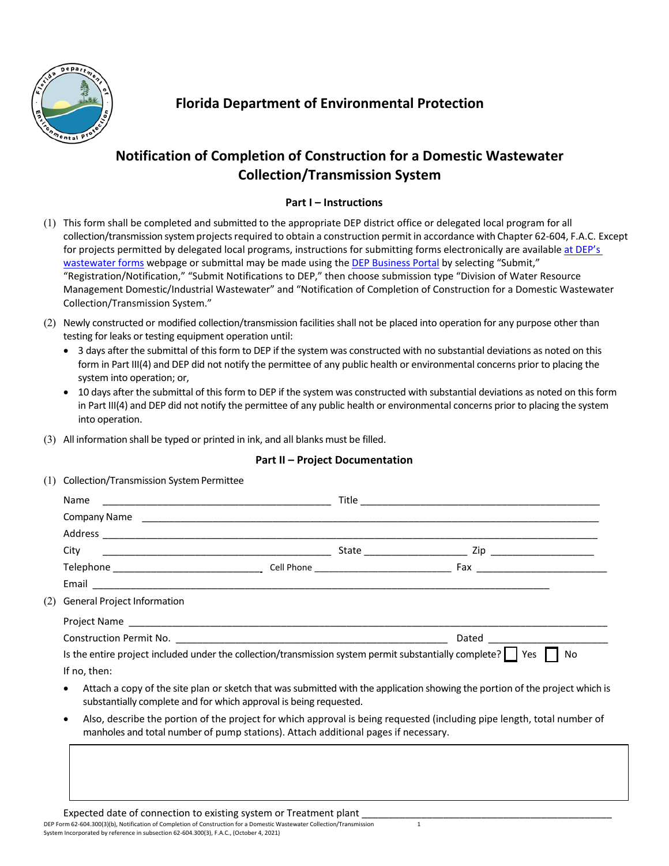

## **Notification of Completion of Construction for a Domestic Wastewater Collection/Transmission System**

## **Part I – Instructions**

- (1) This form shall be completed and submitted to the appropriate DEP district office or delegated local program for all collection/transmission system projects required to obtain a construction permit in accordance with Chapter 62-604, F.A.C. Except for projects permitted by delegated local programs, instructions for submitting forms electronically are availabl[e at DEP's](https://floridadep.gov/water/domestic-wastewater/content/domestic-wastewater-forms) [wastewater forms](https://floridadep.gov/water/domestic-wastewater/content/domestic-wastewater-forms) webpage or submittal may be made using the [DEP Business Portal](https://www.fldepportal.com/DepPortal/go/home) by selecting "Submit," "Registration/Notification," "Submit Notifications to DEP," then choose submission type "Division of Water Resource Management Domestic/Industrial Wastewater" and "Notification of Completion of Construction for a Domestic Wastewater Collection/Transmission System."
- (2) Newly constructed or modified collection/transmission facilities shall not be placed into operation for any purpose other than testing for leaks or testing equipment operation until:
	- 3 days after the submittal of this form to DEP if the system was constructed with no substantial deviations as noted on this form in Part III(4) and DEP did not notify the permittee of any public health or environmental concerns prior to placing the system into operation; or,
	- 10 days after the submittal of this form to DEP if the system was constructed with substantial deviations as noted on this form in Part III(4) and DEP did not notify the permittee of any public health or environmental concerns prior to placing the system into operation.
- (3) All information shall be typed or printed in ink, and all blanks must be filled.

## **Part II – Project Documentation**

(1) Collection/Transmission System Permittee

|     | Name                                                                                                                                                                                                          | Title |  |  |  |  |
|-----|---------------------------------------------------------------------------------------------------------------------------------------------------------------------------------------------------------------|-------|--|--|--|--|
|     |                                                                                                                                                                                                               |       |  |  |  |  |
|     |                                                                                                                                                                                                               |       |  |  |  |  |
|     | City                                                                                                                                                                                                          |       |  |  |  |  |
|     |                                                                                                                                                                                                               |       |  |  |  |  |
|     |                                                                                                                                                                                                               |       |  |  |  |  |
| (2) | <b>General Project Information</b>                                                                                                                                                                            |       |  |  |  |  |
|     |                                                                                                                                                                                                               |       |  |  |  |  |
|     |                                                                                                                                                                                                               |       |  |  |  |  |
|     | Is the entire project included under the collection/transmission system permit substantially complete? $\Box$ Yes $\Box$<br>No                                                                                |       |  |  |  |  |
|     | If no, then:                                                                                                                                                                                                  |       |  |  |  |  |
|     | Attach a copy of the site plan or sketch that was submitted with the application showing the portion of the project which is<br>substantially complete and for which approval is being requested.             |       |  |  |  |  |
|     | Also, describe the portion of the project for which approval is being requested (including pipe length, total number of<br>manholes and total number of pump stations). Attach additional pages if necessary. |       |  |  |  |  |

DEP Form 62-604.300(3)(b), Notification of Completion of Construction for a Domestic Wastewater Collection/Transmission 1 System Incorporated by reference in subsection 62-604.300(3), F.A.C., (October 4, 2021) Expected date of connection to existing system or Treatment plant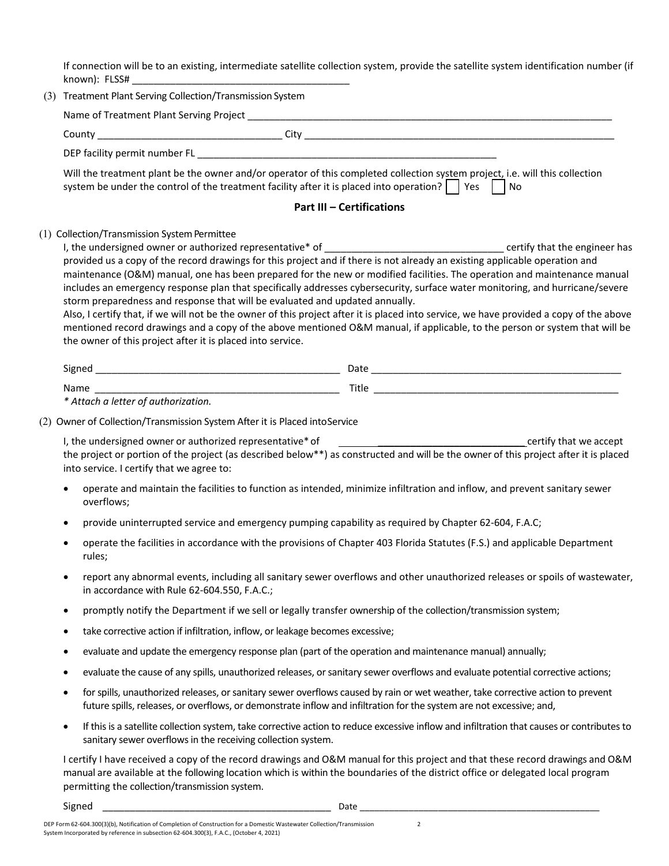If connection will be to an existing, intermediate satellite collection system, provide the satellite system identification number (if known): FLSS#

|                                              | (3) Treatment Plant Serving Collection/Transmission System                                                                                                                                                                                                                                                                                                                                                                                                                                                                                                                                                                                                                                                                                                                                                       |  |
|----------------------------------------------|------------------------------------------------------------------------------------------------------------------------------------------------------------------------------------------------------------------------------------------------------------------------------------------------------------------------------------------------------------------------------------------------------------------------------------------------------------------------------------------------------------------------------------------------------------------------------------------------------------------------------------------------------------------------------------------------------------------------------------------------------------------------------------------------------------------|--|
|                                              | Name of Treatment Plant Serving Project <b>Analyzis and Contact Contact Contact Contact Contact Contact Contact Contact Contact Contact Contact Contact Contact Contact Contact Contact Contact Contact Contact Contact Contact </b>                                                                                                                                                                                                                                                                                                                                                                                                                                                                                                                                                                             |  |
|                                              |                                                                                                                                                                                                                                                                                                                                                                                                                                                                                                                                                                                                                                                                                                                                                                                                                  |  |
|                                              |                                                                                                                                                                                                                                                                                                                                                                                                                                                                                                                                                                                                                                                                                                                                                                                                                  |  |
|                                              | Will the treatment plant be the owner and/or operator of this completed collection system project, i.e. will this collection<br>system be under the control of the treatment facility after it is placed into operation? $\vert \ \vert$ Yes $\vert \ \vert$ No                                                                                                                                                                                                                                                                                                                                                                                                                                                                                                                                                  |  |
|                                              | <b>Part III - Certifications</b>                                                                                                                                                                                                                                                                                                                                                                                                                                                                                                                                                                                                                                                                                                                                                                                 |  |
| (1) Collection/Transmission System Permittee | provided us a copy of the record drawings for this project and if there is not already an existing applicable operation and<br>maintenance (O&M) manual, one has been prepared for the new or modified facilities. The operation and maintenance manual<br>includes an emergency response plan that specifically addresses cybersecurity, surface water monitoring, and hurricane/severe<br>storm preparedness and response that will be evaluated and updated annually.<br>Also, I certify that, if we will not be the owner of this project after it is placed into service, we have provided a copy of the above<br>mentioned record drawings and a copy of the above mentioned O&M manual, if applicable, to the person or system that will be<br>the owner of this project after it is placed into service. |  |
|                                              |                                                                                                                                                                                                                                                                                                                                                                                                                                                                                                                                                                                                                                                                                                                                                                                                                  |  |
| * Attach a letter of authorization.          |                                                                                                                                                                                                                                                                                                                                                                                                                                                                                                                                                                                                                                                                                                                                                                                                                  |  |
|                                              | (2) Owner of Collection/Transmission System After it is Placed intoService                                                                                                                                                                                                                                                                                                                                                                                                                                                                                                                                                                                                                                                                                                                                       |  |
| into service. I certify that we agree to:    | I, the undersigned owner or authorized representative* of<br>the project or portion of the project (as described below**) as constructed and will be the owner of this project after it is placed                                                                                                                                                                                                                                                                                                                                                                                                                                                                                                                                                                                                                |  |
| ٠<br>overflows;                              | operate and maintain the facilities to function as intended, minimize infiltration and inflow, and prevent sanitary sewer                                                                                                                                                                                                                                                                                                                                                                                                                                                                                                                                                                                                                                                                                        |  |
| ٠                                            | provide uninterrupted service and emergency pumping capability as required by Chapter 62-604, F.A.C;                                                                                                                                                                                                                                                                                                                                                                                                                                                                                                                                                                                                                                                                                                             |  |
| $\bullet$<br>rules;                          | operate the facilities in accordance with the provisions of Chapter 403 Florida Statutes (F.S.) and applicable Department                                                                                                                                                                                                                                                                                                                                                                                                                                                                                                                                                                                                                                                                                        |  |
| $\bullet$                                    | report any abnormal events, including all sanitary sewer overflows and other unauthorized releases or spoils of wastewater,<br>in accordance with Rule 62-604.550, F.A.C.;                                                                                                                                                                                                                                                                                                                                                                                                                                                                                                                                                                                                                                       |  |
|                                              | promptly notify the Department if we sell or legally transfer ownership of the collection/transmission system;                                                                                                                                                                                                                                                                                                                                                                                                                                                                                                                                                                                                                                                                                                   |  |

- take corrective action if infiltration, inflow, or leakage becomes excessive;
- evaluate and update the emergency response plan (part of the operation and maintenance manual) annually;
- evaluate the cause of any spills, unauthorized releases, or sanitary sewer overflows and evaluate potential corrective actions;
- for spills, unauthorized releases, or sanitary sewer overflows caused by rain or wet weather, take corrective action to prevent future spills, releases, or overflows, or demonstrate inflow and infiltration for the system are not excessive; and,
- If this is a satellite collection system, take corrective action to reduce excessive inflow and infiltration that causes or contributes to sanitary sewer overflows in the receiving collection system.

I certify I have received a copy of the record drawings and O&M manual for this project and that these record drawings and O&M manual are available at the following location which is within the boundaries of the district office or delegated local program permitting the collection/transmission system.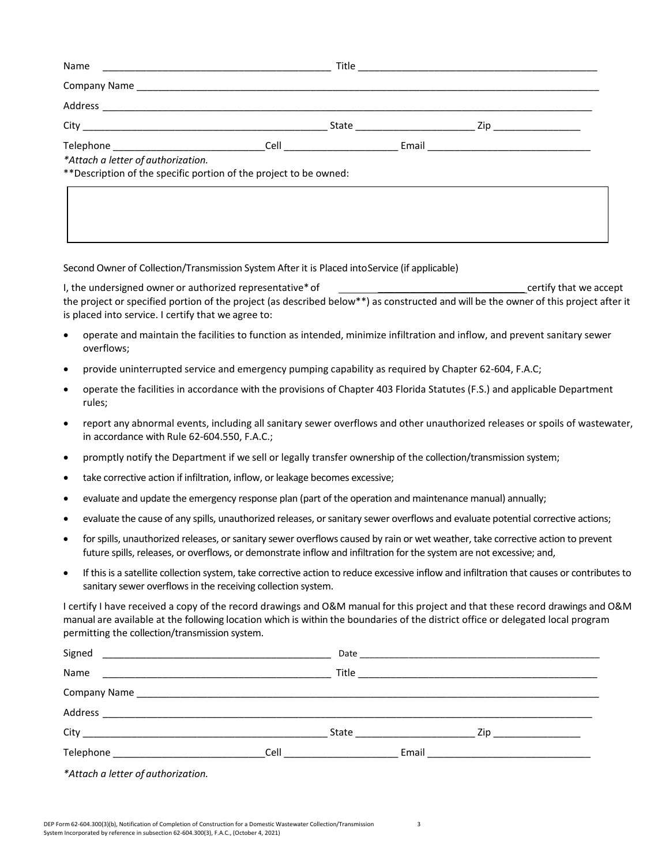| Name                                                                                                    |                                                                                                                |                          |
|---------------------------------------------------------------------------------------------------------|----------------------------------------------------------------------------------------------------------------|--------------------------|
|                                                                                                         |                                                                                                                |                          |
|                                                                                                         |                                                                                                                |                          |
|                                                                                                         | State and the state of the state of the state of the state of the state of the state of the state of the state | Zip ____________________ |
| *Attach a letter of authorization.<br>**Description of the specific portion of the project to be owned: |                                                                                                                |                          |
|                                                                                                         |                                                                                                                |                          |

Second Owner of Collection/Transmission System After it is Placed intoService (if applicable)

I, the undersigned owner or authorized representative\* of  $\blacksquare$ the project or specified portion of the project (as described below\*\*) as constructed and will be the owner of this project after it is placed into service. I certify that we agree to:

- operate and maintain the facilities to function as intended, minimize infiltration and inflow, and prevent sanitary sewer overflows;
- provide uninterrupted service and emergency pumping capability as required by Chapter 62-604, F.A.C;
- operate the facilities in accordance with the provisions of Chapter 403 Florida Statutes (F.S.) and applicable Department rules;
- report any abnormal events, including all sanitary sewer overflows and other unauthorized releases or spoils of wastewater, in accordance with Rule 62-604.550, F.A.C.;
- promptly notify the Department if we sell or legally transfer ownership of the collection/transmission system;
- take corrective action if infiltration, inflow, or leakage becomes excessive;
- evaluate and update the emergency response plan (part of the operation and maintenance manual) annually;
- evaluate the cause of any spills, unauthorized releases, or sanitary sewer overflows and evaluate potential corrective actions;
- for spills, unauthorized releases, or sanitary sewer overflows caused by rain or wet weather, take corrective action to prevent future spills, releases, or overflows, or demonstrate inflow and infiltration for the system are not excessive; and,
- If this is a satellite collection system, take corrective action to reduce excessive inflow and infiltration that causes or contributes to sanitary sewer overflows in the receiving collection system.

I certify I have received a copy of the record drawings and O&M manual for this project and that these record drawings and O&M manual are available at the following location which is within the boundaries of the district office or delegated local program permitting the collection/transmission system.

| Signed                                   |                             |                            |                       |  |
|------------------------------------------|-----------------------------|----------------------------|-----------------------|--|
| Name                                     |                             |                            |                       |  |
|                                          |                             |                            |                       |  |
|                                          |                             |                            |                       |  |
|                                          |                             | State <u>_____________</u> | Zip _________________ |  |
|                                          | <b>Cell</b> _______________ |                            |                       |  |
| $*$ Attack a latter of subjection in $A$ |                             |                            |                       |  |

*\*Attach a letter of authorization.*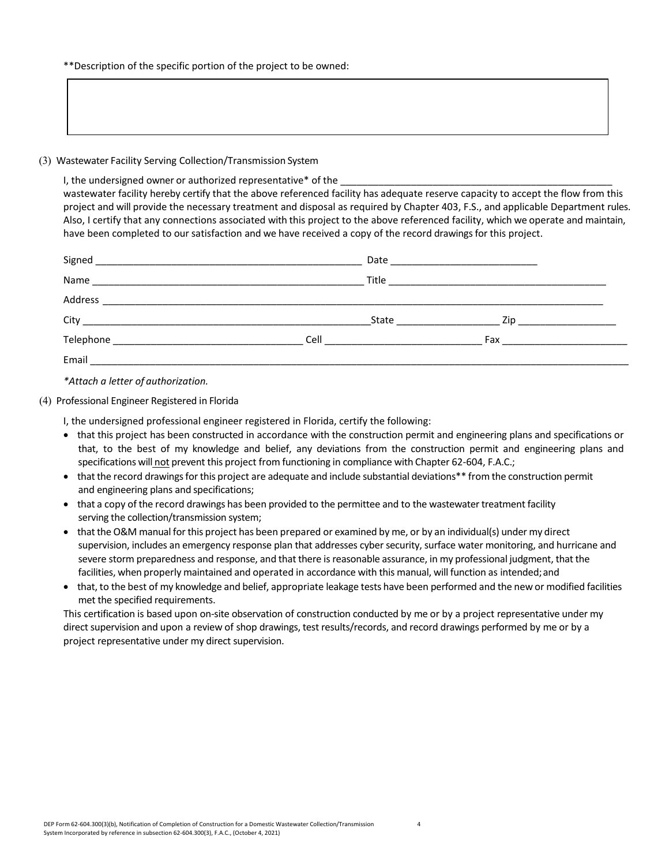\*\*Description of the specific portion of the project to be owned:

## (3) Wastewater Facility Serving Collection/Transmission System

I, the undersigned owner or authorized representative\* of the wastewater facility hereby certify that the above referenced facility has adequate reserve capacity to accept the flow from this project and will provide the necessary treatment and disposal as required by Chapter 403, F.S., and applicable Department rules. Also, I certify that any connections associated with this project to the above referenced facility, which we operate and maintain, have been completed to our satisfaction and we have received a copy of the record drawings for this project.

| Signed    |                                               |                |
|-----------|-----------------------------------------------|----------------|
|           |                                               |                |
| Address   |                                               |                |
|           | State and the state of the state of the state | $\mathsf{Zip}$ |
| Telephone | <b>Cell Cell Cell Cell Cell Cell Cell</b>     |                |
| Email     |                                               |                |

*\*Attach a letter of authorization.*

(4) Professional Engineer Registered in Florida

I, the undersigned professional engineer registered in Florida, certify the following:

- that this project has been constructed in accordance with the construction permit and engineering plans and specifications or that, to the best of my knowledge and belief, any deviations from the construction permit and engineering plans and specifications will not prevent this project from functioning in compliance with Chapter 62-604, F.A.C.;
- that the record drawingsfor this project are adequate and include substantial deviations\*\* from the construction permit and engineering plans and specifications;
- that a copy of the record drawings has been provided to the permittee and to the wastewater treatment facility serving the collection/transmission system;
- that the O&M manual for this project has been prepared or examined by me, or by an individual(s) under my direct supervision, includes an emergency response plan that addresses cyber security, surface water monitoring, and hurricane and severe storm preparedness and response, and that there is reasonable assurance, in my professional judgment, that the facilities, when properly maintained and operated in accordance with this manual, will function as intended; and
- that, to the best of my knowledge and belief, appropriate leakage tests have been performed and the new or modified facilities met the specified requirements.

This certification is based upon on-site observation of construction conducted by me or by a project representative under my direct supervision and upon a review of shop drawings, test results/records, and record drawings performed by me or by a project representative under my direct supervision.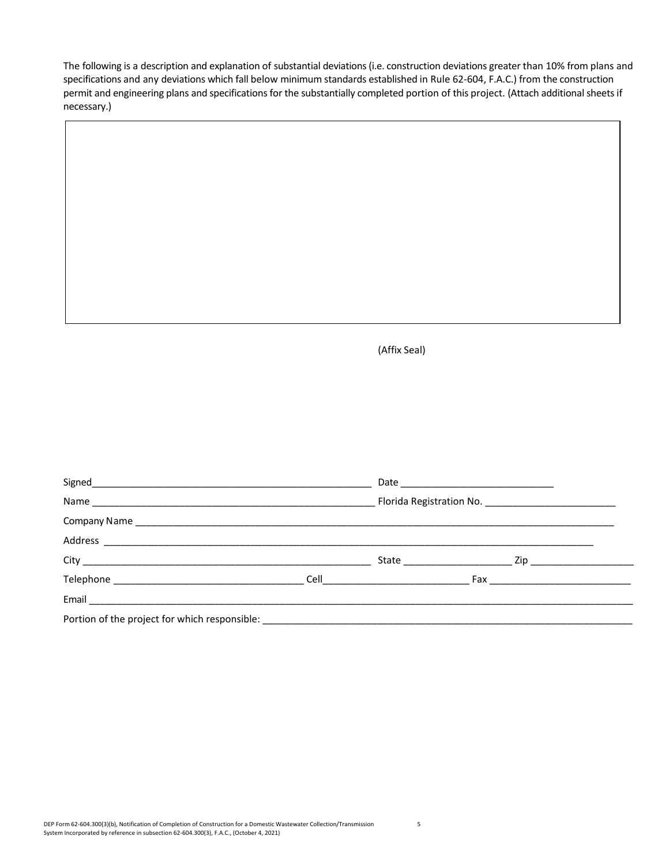The following is a description and explanation of substantial deviations(i.e. construction deviations greater than 10% from plans and specifications and any deviations which fall below minimum standards established in Rule 62-604, F.A.C.) from the construction permit and engineering plans and specifications for the substantially completed portion of this project. (Attach additional sheets if necessary.)

| (Affix Seal) |
|--------------|
|              |

| Telephone <b>Example 2018</b> Cell <b>Cell</b> Cell Fax and Telephone <b>Cell</b> Fax and Telephone <b>Cell</b> |  |  |
|-----------------------------------------------------------------------------------------------------------------|--|--|
|                                                                                                                 |  |  |
| Portion of the project for which responsible: ___________________________________                               |  |  |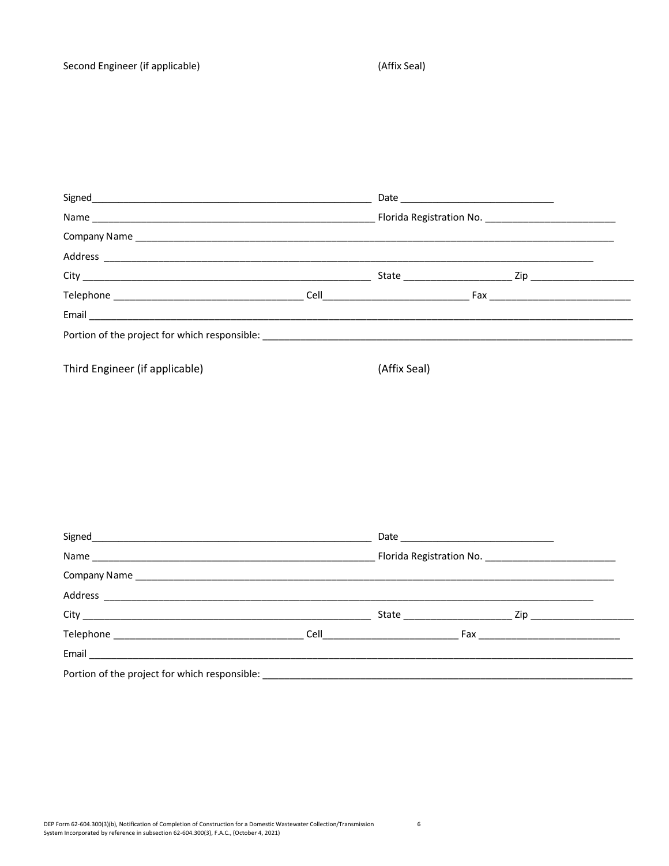(Affix Seal)

| Third Engineer (if applicable)                                                                                                                                                                                                       |  | (Affix Seal) |  |  |  |
|--------------------------------------------------------------------------------------------------------------------------------------------------------------------------------------------------------------------------------------|--|--------------|--|--|--|
|                                                                                                                                                                                                                                      |  |              |  |  |  |
|                                                                                                                                                                                                                                      |  |              |  |  |  |
|                                                                                                                                                                                                                                      |  |              |  |  |  |
|                                                                                                                                                                                                                                      |  |              |  |  |  |
|                                                                                                                                                                                                                                      |  |              |  |  |  |
|                                                                                                                                                                                                                                      |  |              |  |  |  |
|                                                                                                                                                                                                                                      |  |              |  |  |  |
|                                                                                                                                                                                                                                      |  |              |  |  |  |
|                                                                                                                                                                                                                                      |  |              |  |  |  |
|                                                                                                                                                                                                                                      |  |              |  |  |  |
|                                                                                                                                                                                                                                      |  |              |  |  |  |
|                                                                                                                                                                                                                                      |  |              |  |  |  |
|                                                                                                                                                                                                                                      |  |              |  |  |  |
| Email <u>Communications and the communications of the communications of the communications of the communications of the communications of the communications of the communications of the communications of the communications o</u> |  |              |  |  |  |
| Portion of the project for which responsible:                                                                                                                                                                                        |  |              |  |  |  |

 $\boldsymbol{6}$